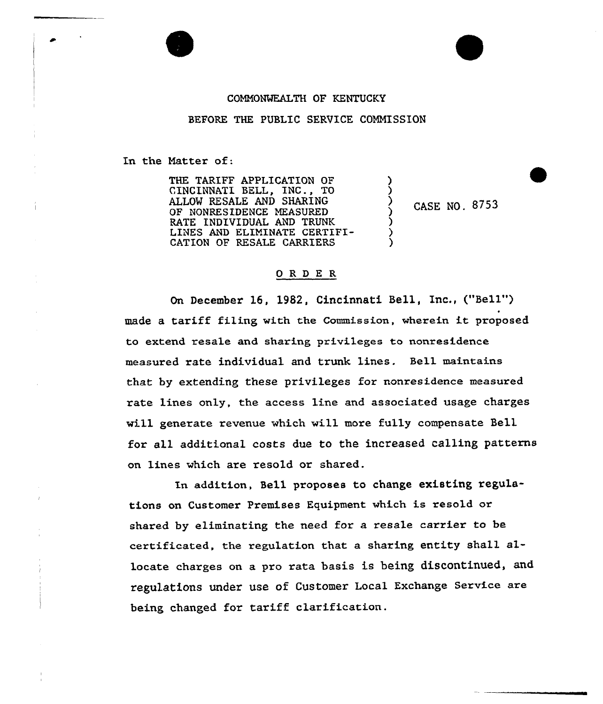## COMMONWEALTH OF KENTUCKY

BEFORE THE PUBLIC SERVICE COMMISSION

In the Hatter of:

THE TARIFF APPLICATION OF CINCINNATI BELL, INC., TO ALLOW RESALE AND SHARING OF NONRESIDENCE MEASURED RATE INDIVIDUAL AND TRUNK LINES AND ELIHINATE CERTIFI-CATION OF RESALE CARRIERS

CASE NO. 8753

) )

> ) ) )

## ORDER

On December 16. 1982, Cincinnati Bell, Inc., ("Bell") made <sup>a</sup> tariff filing with the Commission, wherein it proposed to extend resale and sharing privileges to nonresidence measured rate individual and trunk lines. Bell maintains that by extending these privileges for nonresidence measured rate lines only, the access line and associated usage charges will generate revenue which will more fully compensate Bell for all additional costs due to the increased calling patterns on lines which are resold or shared.

In addition, Bell proposes to change existing regulations on Customer Premises Equipment which is resold or shared by eliminating the need for a resale carrier to be certificated, the regulation that a sharing entity shall allocate charges on a pro rata basis is being discontinued, and regulations under use of Customer Local Exchange Service are being changed for tariff clarification.